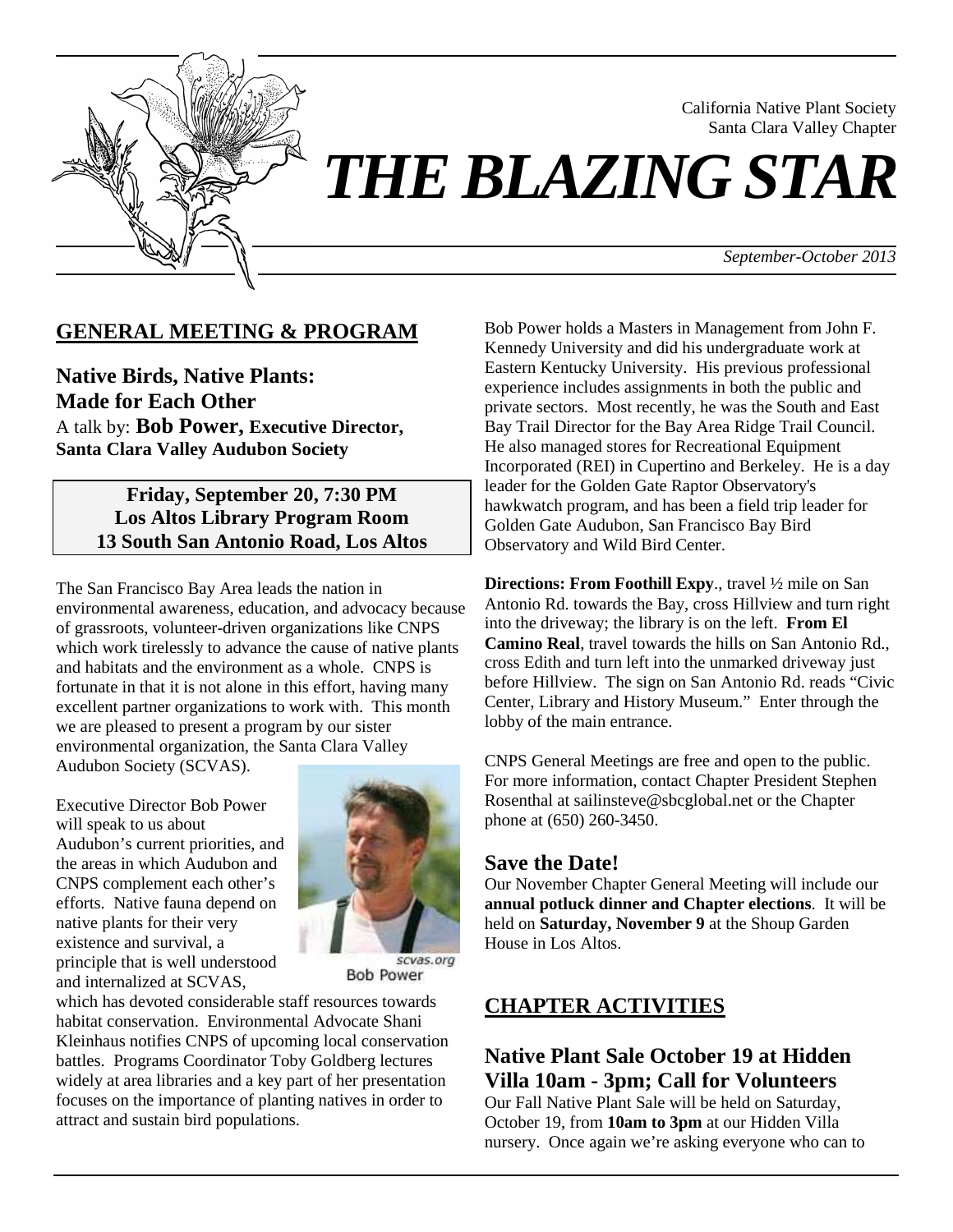

# *THE BLAZING STAR*

*September-October 2013*

California Native Plant Society Santa Clara Valley Chapter

# **GENERAL MEETING & PROGRAM**

**Native Birds, Native Plants: Made for Each Other** 

A talk by: **Bob Power, Executive Director, Santa Clara Valley Audubon Society** 

## **Friday, September 20, 7:30 PM Los Altos Library Program Room 13 South San Antonio Road, Los Altos**

The San Francisco Bay Area leads the nation in environmental awareness, education, and advocacy because of grassroots, volunteer-driven organizations like CNPS which work tirelessly to advance the cause of native plants and habitats and the environment as a whole. CNPS is fortunate in that it is not alone in this effort, having many excellent partner organizations to work with. This month we are pleased to present a program by our sister environmental organization, the Santa Clara Valley Audubon Society (SCVAS).

Executive Director Bob Power will speak to us about Audubon's current priorities, and the areas in which Audubon and CNPS complement each other's efforts. Native fauna depend on native plants for their very existence and survival, a principle that is well understood and internalized at SCVAS,



**Bob Power** 

which has devoted considerable staff resources towards habitat conservation. Environmental Advocate Shani Kleinhaus notifies CNPS of upcoming local conservation battles. Programs Coordinator Toby Goldberg lectures widely at area libraries and a key part of her presentation focuses on the importance of planting natives in order to attract and sustain bird populations.

Bob Power holds a Masters in Management from John F. Kennedy University and did his undergraduate work at Eastern Kentucky University. His previous professional experience includes assignments in both the public and private sectors. Most recently, he was the South and East Bay Trail Director for the Bay Area Ridge Trail Council. He also managed stores for Recreational Equipment Incorporated (REI) in Cupertino and Berkeley. He is a day leader for the Golden Gate Raptor Observatory's hawkwatch program, and has been a field trip leader for Golden Gate Audubon, San Francisco Bay Bird Observatory and Wild Bird Center.

**Directions: From Foothill Expy**., travel ½ mile on San Antonio Rd. towards the Bay, cross Hillview and turn right into the driveway; the library is on the left. **From El Camino Real**, travel towards the hills on San Antonio Rd., cross Edith and turn left into the unmarked driveway just before Hillview. The sign on San Antonio Rd. reads "Civic Center, Library and History Museum." Enter through the lobby of the main entrance.

CNPS General Meetings are free and open to the public. For more information, contact Chapter President Stephen Rosenthal at sailinsteve@sbcglobal.net or the Chapter phone at (650) 260-3450.

# **Save the Date!**

Our November Chapter General Meeting will include our **annual potluck dinner and Chapter elections**. It will be held on **Saturday, November 9** at the Shoup Garden House in Los Altos.

# **CHAPTER ACTIVITIES**

# **Native Plant Sale October 19 at Hidden Villa 10am - 3pm; Call for Volunteers**

Our Fall Native Plant Sale will be held on Saturday, October 19, from **10am to 3pm** at our Hidden Villa nursery. Once again we're asking everyone who can to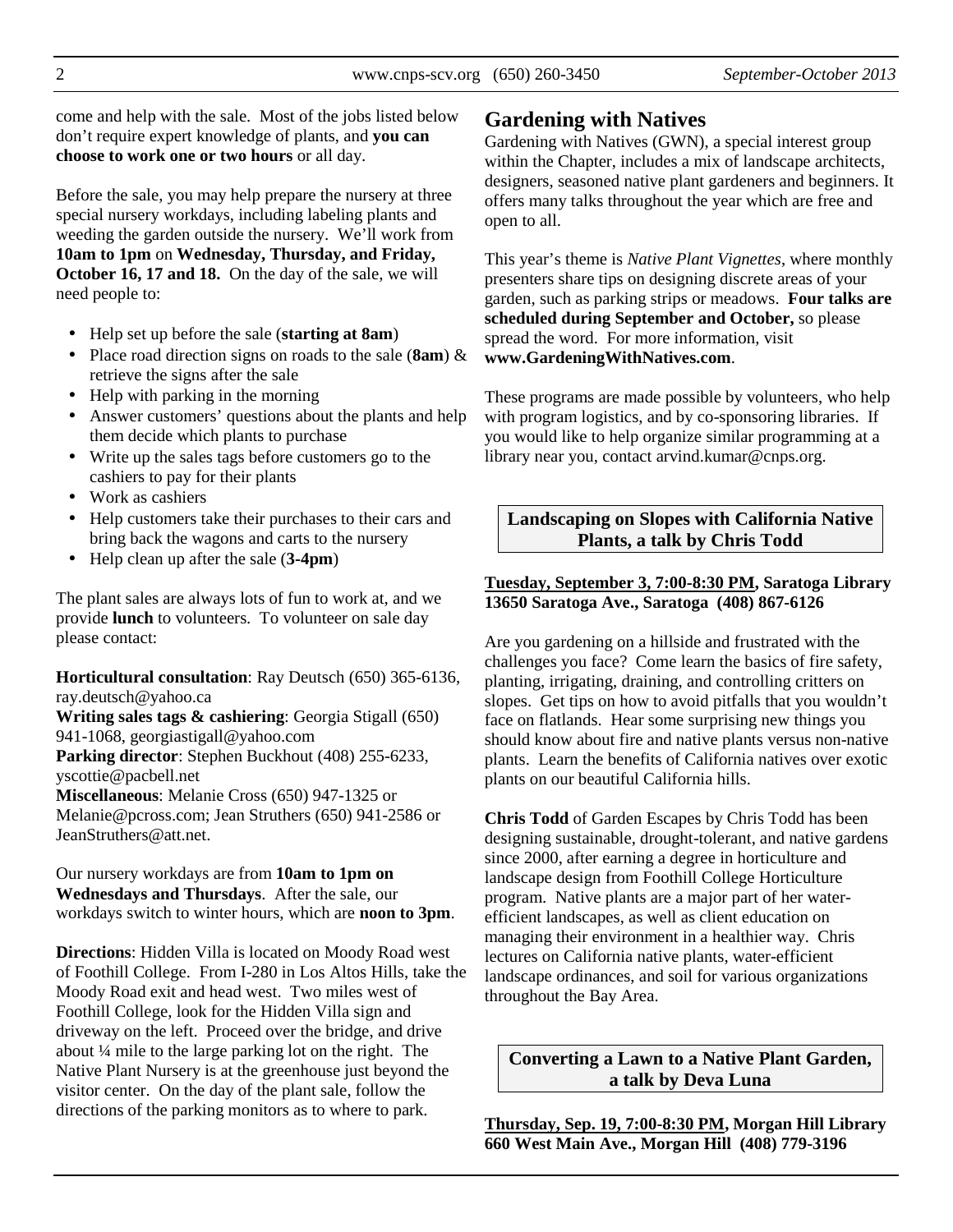come and help with the sale. Most of the jobs listed below don't require expert knowledge of plants, and **you can choose to work one or two hours** or all day.

Before the sale, you may help prepare the nursery at three special nursery workdays, including labeling plants and weeding the garden outside the nursery. We'll work from **10am to 1pm** on **Wednesday, Thursday, and Friday, October 16, 17 and 18.** On the day of the sale, we will need people to:

- Help set up before the sale (**starting at 8am**)
- Place road direction signs on roads to the sale (**8am**) & retrieve the signs after the sale
- Help with parking in the morning
- Answer customers' questions about the plants and help them decide which plants to purchase
- Write up the sales tags before customers go to the cashiers to pay for their plants
- Work as cashiers
- Help customers take their purchases to their cars and bring back the wagons and carts to the nursery
- Help clean up after the sale (**3-4pm**)

The plant sales are always lots of fun to work at, and we provide **lunch** to volunteers. To volunteer on sale day please contact:

**Horticultural consultation**: Ray Deutsch (650) 365-6136, ray.deutsch@yahoo.ca **Writing sales tags & cashiering**: Georgia Stigall (650) 941-1068, georgiastigall@yahoo.com **Parking director**: Stephen Buckhout (408) 255-6233, yscottie@pacbell.net **Miscellaneous**: Melanie Cross (650) 947-1325 or Melanie@pcross.com; Jean Struthers (650) 941-2586 or JeanStruthers@att.net.

#### Our nursery workdays are from **10am to 1pm on Wednesdays and Thursdays**. After the sale, our workdays switch to winter hours, which are **noon to 3pm**.

**Directions**: Hidden Villa is located on Moody Road west of Foothill College. From I-280 in Los Altos Hills, take the Moody Road exit and head west. Two miles west of Foothill College, look for the Hidden Villa sign and driveway on the left. Proceed over the bridge, and drive about ¼ mile to the large parking lot on the right. The Native Plant Nursery is at the greenhouse just beyond the visitor center. On the day of the plant sale, follow the directions of the parking monitors as to where to park.

#### **Gardening with Natives**

Gardening with Natives (GWN), a special interest group within the Chapter, includes a mix of landscape architects, designers, seasoned native plant gardeners and beginners. It offers many talks throughout the year which are free and open to all.

This year's theme is *Native Plant Vignettes*, where monthly presenters share tips on designing discrete areas of your garden, such as parking strips or meadows. **Four talks are scheduled during September and October,** so please spread the word.For more information, visit **www.GardeningWithNatives.com**.

These programs are made possible by volunteers, who help with program logistics, and by co-sponsoring libraries. If you would like to help organize similar programming at a library near you, contact arvind.kumar@cnps.org.

#### **Landscaping on Slopes with California Native Plants, a talk by Chris Todd**

#### **Tuesday, September 3, 7:00-8:30 PM, Saratoga Library 13650 Saratoga Ave., Saratoga (408) 867-6126**

Are you gardening on a hillside and frustrated with the challenges you face? Come learn the basics of fire safety, planting, irrigating, draining, and controlling critters on slopes. Get tips on how to avoid pitfalls that you wouldn't face on flatlands. Hear some surprising new things you should know about fire and native plants versus non-native plants. Learn the benefits of California natives over exotic plants on our beautiful California hills.

**Chris Todd** of Garden Escapes by Chris Todd has been designing sustainable, drought-tolerant, and native gardens since 2000, after earning a degree in horticulture and landscape design from Foothill College Horticulture program. Native plants are a major part of her waterefficient landscapes, as well as client education on managing their environment in a healthier way. Chris lectures on California native plants, water-efficient landscape ordinances, and soil for various organizations throughout the Bay Area.

**Converting a Lawn to a Native Plant Garden, a talk by Deva Luna** 

**Thursday, Sep. 19, 7:00-8:30 PM, Morgan Hill Library 660 West Main Ave., Morgan Hill (408) 779-3196**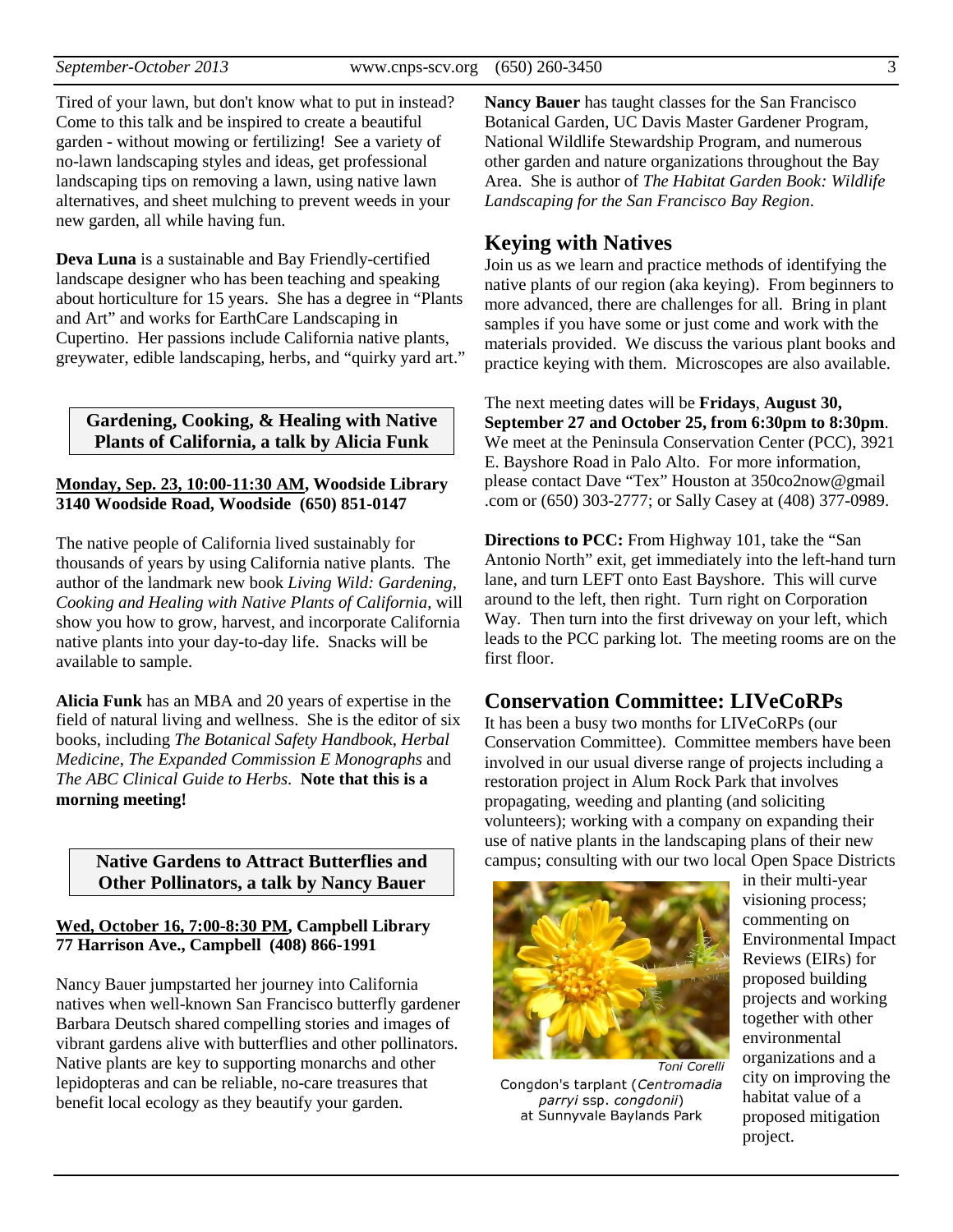Tired of your lawn, but don't know what to put in instead? Come to this talk and be inspired to create a beautiful garden - without mowing or fertilizing! See a variety of no-lawn landscaping styles and ideas, get professional landscaping tips on removing a lawn, using native lawn alternatives, and sheet mulching to prevent weeds in your new garden, all while having fun.

**Deva Luna** is a sustainable and Bay Friendly-certified landscape designer who has been teaching and speaking about horticulture for 15 years. She has a degree in "Plants and Art" and works for EarthCare Landscaping in Cupertino. Her passions include California native plants, greywater, edible landscaping, herbs, and "quirky yard art."

**Gardening, Cooking, & Healing with Native Plants of California, a talk by Alicia Funk** 

#### **Monday, Sep. 23, 10:00-11:30 AM, Woodside Library 3140 Woodside Road, Woodside (650) 851-0147**

The native people of California lived sustainably for thousands of years by using California native plants. The author of the landmark new book *Living Wild: Gardening, Cooking and Healing with Native Plants of California*, will show you how to grow, harvest, and incorporate California native plants into your day-to-day life. Snacks will be available to sample.

**Alicia Funk** has an MBA and 20 years of expertise in the field of natural living and wellness. She is the editor of six books, including *The Botanical Safety Handbook*, *Herbal Medicine*, *The Expanded Commission E Monographs* and *The ABC Clinical Guide to Herbs*. **Note that this is a morning meeting!**

#### **Native Gardens to Attract Butterflies and Other Pollinators, a talk by Nancy Bauer**

#### **Wed, October 16, 7:00-8:30 PM, Campbell Library 77 Harrison Ave., Campbell (408) 866-1991**

Nancy Bauer jumpstarted her journey into California natives when well-known San Francisco butterfly gardener Barbara Deutsch shared compelling stories and images of vibrant gardens alive with butterflies and other pollinators. Native plants are key to supporting monarchs and other lepidopteras and can be reliable, no-care treasures that benefit local ecology as they beautify your garden.

**Nancy Bauer** has taught classes for the San Francisco Botanical Garden, UC Davis Master Gardener Program, National Wildlife Stewardship Program, and numerous other garden and nature organizations throughout the Bay Area. She is author of *The Habitat Garden Book: Wildlife Landscaping for the San Francisco Bay Region*.

### **Keying with Natives**

Join us as we learn and practice methods of identifying the native plants of our region (aka keying). From beginners to more advanced, there are challenges for all. Bring in plant samples if you have some or just come and work with the materials provided. We discuss the various plant books and practice keying with them. Microscopes are also available.

The next meeting dates will be **Fridays**, **August 30, September 27 and October 25, from 6:30pm to 8:30pm**. We meet at the Peninsula Conservation Center (PCC), 3921 E. Bayshore Road in Palo Alto. For more information, please contact Dave "Tex" Houston at 350co2now@gmail .com or (650) 303-2777; or Sally Casey at (408) 377-0989.

**Directions to PCC:** From Highway 101, take the "San Antonio North" exit, get immediately into the left-hand turn lane, and turn LEFT onto East Bayshore. This will curve around to the left, then right. Turn right on Corporation Way. Then turn into the first driveway on your left, which leads to the PCC parking lot. The meeting rooms are on the first floor.

#### **Conservation Committee: LIVeCoRPs**

It has been a busy two months for LIVeCoRPs (our Conservation Committee). Committee members have been involved in our usual diverse range of projects including a restoration project in Alum Rock Park that involves propagating, weeding and planting (and soliciting volunteers); working with a company on expanding their use of native plants in the landscaping plans of their new campus; consulting with our two local Open Space Districts



Congdon's tarplant (Centromadia parryi ssp. congdonii) at Sunnyvale Baylands Park

in their multi-year visioning process; commenting on Environmental Impact Reviews (EIRs) for proposed building projects and working together with other environmental organizations and a city on improving the habitat value of a proposed mitigation project.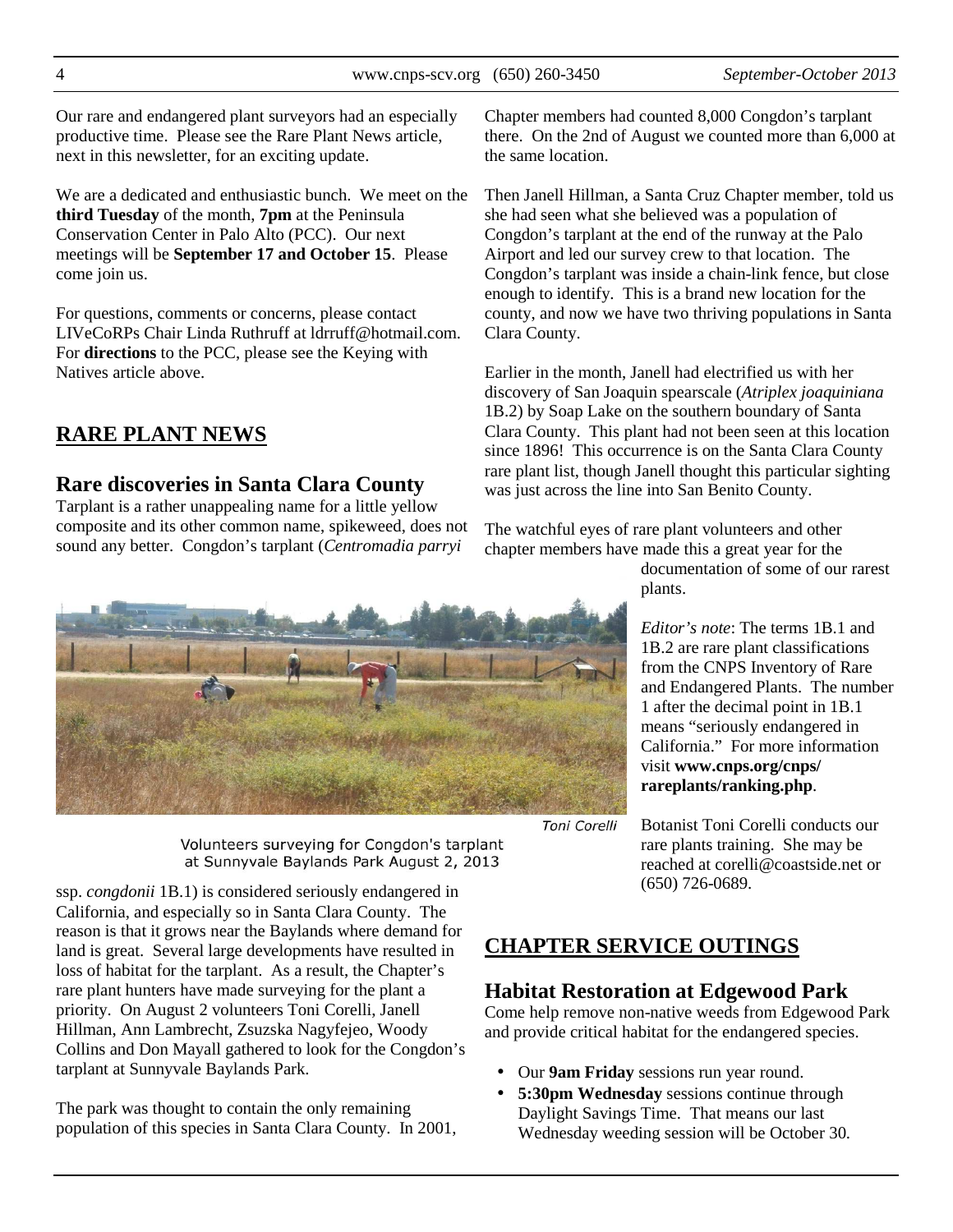Our rare and endangered plant surveyors had an especially productive time. Please see the Rare Plant News article, next in this newsletter, for an exciting update.

We are a dedicated and enthusiastic bunch. We meet on the **third Tuesday** of the month, **7pm** at the Peninsula Conservation Center in Palo Alto (PCC). Our next meetings will be **September 17 and October 15**. Please come join us.

For questions, comments or concerns, please contact LIVeCoRPs Chair Linda Ruthruff at ldrruff@hotmail.com. For **directions** to the PCC, please see the Keying with Natives article above.

# **RARE PLANT NEWS**

# **Rare discoveries in Santa Clara County**

Tarplant is a rather unappealing name for a little yellow composite and its other common name, spikeweed, does not sound any better. Congdon's tarplant (*Centromadia parryi*



1B.2 are rare plant classifications from the CNPS Inventory of Rare and Endangered Plants. The number 1 after the decimal point in 1B.1 means "seriously endangered in California." For more information visit **www.cnps.org/cnps/ rareplants/ranking.php**.

Botanist Toni Corelli conducts our rare plants training. She may be reached at corelli@coastside.net or

Volunteers surveying for Congdon's tarplant at Sunnyvale Baylands Park August 2, 2013

ssp. *congdonii* 1B.1) is considered seriously endangered in California, and especially so in Santa Clara County. The reason is that it grows near the Baylands where demand for land is great. Several large developments have resulted in loss of habitat for the tarplant. As a result, the Chapter's rare plant hunters have made surveying for the plant a priority. On August 2 volunteers Toni Corelli, Janell Hillman, Ann Lambrecht, Zsuzska Nagyfejeo, Woody Collins and Don Mayall gathered to look for the Congdon's tarplant at Sunnyvale Baylands Park.

The park was thought to contain the only remaining population of this species in Santa Clara County. In 2001,

# **CHAPTER SERVICE OUTINGS**

# **Habitat Restoration at Edgewood Park**

Come help remove non-native weeds from Edgewood Park and provide critical habitat for the endangered species.

(650) 726-0689.

- Our **9am Friday** sessions run year round.
- **5:30pm Wednesday** sessions continue through Daylight Savings Time. That means our last Wednesday weeding session will be October 30.

Chapter members had counted 8,000 Congdon's tarplant there. On the 2nd of August we counted more than 6,000 at the same location.

Then Janell Hillman, a Santa Cruz Chapter member, told us she had seen what she believed was a population of Congdon's tarplant at the end of the runway at the Palo Airport and led our survey crew to that location. The Congdon's tarplant was inside a chain-link fence, but close enough to identify. This is a brand new location for the county, and now we have two thriving populations in Santa Clara County.

Earlier in the month, Janell had electrified us with her discovery of San Joaquin spearscale (*Atriplex joaquiniana* 1B.2) by Soap Lake on the southern boundary of Santa Clara County. This plant had not been seen at this location since 1896! This occurrence is on the Santa Clara County rare plant list, though Janell thought this particular sighting was just across the line into San Benito County.

The watchful eyes of rare plant volunteers and other chapter members have made this a great year for the documentation of some of our rarest



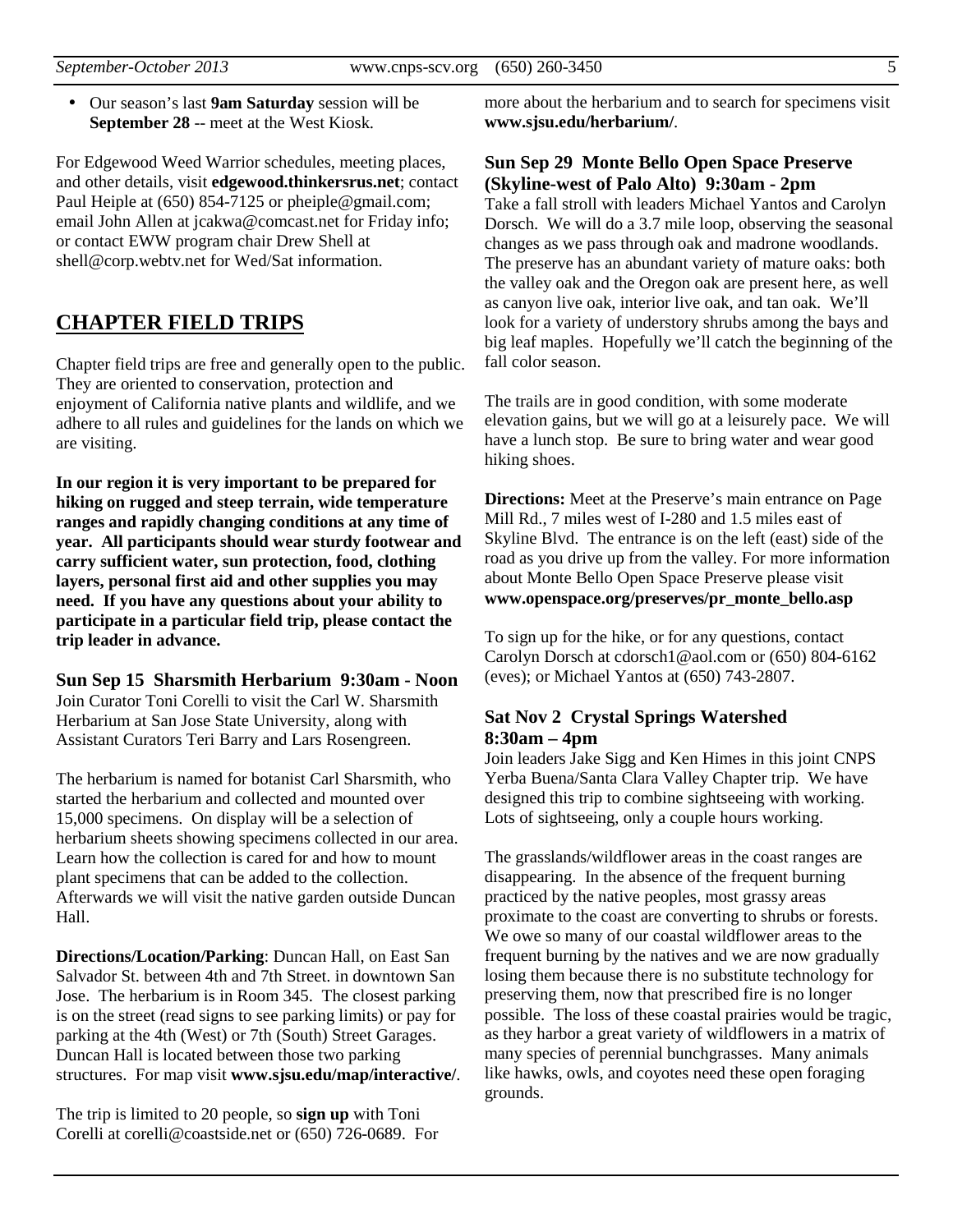• Our season's last **9am Saturday** session will be **September 28** -- meet at the West Kiosk.

For Edgewood Weed Warrior schedules, meeting places, and other details, visit **edgewood.thinkersrus.net**; contact Paul Heiple at (650) 854-7125 or pheiple@gmail.com; email John Allen at jcakwa@comcast.net for Friday info; or contact EWW program chair Drew Shell at shell@corp.webtv.net for Wed/Sat information.

# **CHAPTER FIELD TRIPS**

Chapter field trips are free and generally open to the public. They are oriented to conservation, protection and enjoyment of California native plants and wildlife, and we adhere to all rules and guidelines for the lands on which we are visiting.

**In our region it is very important to be prepared for hiking on rugged and steep terrain, wide temperature ranges and rapidly changing conditions at any time of year. All participants should wear sturdy footwear and carry sufficient water, sun protection, food, clothing layers, personal first aid and other supplies you may need. If you have any questions about your ability to participate in a particular field trip, please contact the trip leader in advance.** 

**Sun Sep 15 Sharsmith Herbarium 9:30am - Noon**  Join Curator Toni Corelli to visit the Carl W. Sharsmith Herbarium at San Jose State University, along with Assistant Curators Teri Barry and Lars Rosengreen.

The herbarium is named for botanist Carl Sharsmith, who started the herbarium and collected and mounted over 15,000 specimens. On display will be a selection of herbarium sheets showing specimens collected in our area. Learn how the collection is cared for and how to mount plant specimens that can be added to the collection. Afterwards we will visit the native garden outside Duncan Hall.

**Directions/Location/Parking**: Duncan Hall, on East San Salvador St. between 4th and 7th Street. in downtown San Jose. The herbarium is in Room 345. The closest parking is on the street (read signs to see parking limits) or pay for parking at the 4th (West) or 7th (South) Street Garages. Duncan Hall is located between those two parking structures. For map visit **www.sjsu.edu/map/interactive/**.

The trip is limited to 20 people, so **sign up** with Toni Corelli at corelli@coastside.net or (650) 726-0689. For more about the herbarium and to search for specimens visit **www.sjsu.edu/herbarium/**.

#### **Sun Sep 29 Monte Bello Open Space Preserve (Skyline-west of Palo Alto) 9:30am - 2pm**

Take a fall stroll with leaders Michael Yantos and Carolyn Dorsch. We will do a 3.7 mile loop, observing the seasonal changes as we pass through oak and madrone woodlands. The preserve has an abundant variety of mature oaks: both the valley oak and the Oregon oak are present here, as well as canyon live oak, interior live oak, and tan oak. We'll look for a variety of understory shrubs among the bays and big leaf maples. Hopefully we'll catch the beginning of the fall color season.

The trails are in good condition, with some moderate elevation gains, but we will go at a leisurely pace. We will have a lunch stop. Be sure to bring water and wear good hiking shoes.

**Directions:** Meet at the Preserve's main entrance on Page Mill Rd., 7 miles west of I-280 and 1.5 miles east of Skyline Blvd. The entrance is on the left (east) side of the road as you drive up from the valley. For more information about Monte Bello Open Space Preserve please visit **www.openspace.org/preserves/pr\_monte\_bello.asp**

To sign up for the hike, or for any questions, contact Carolyn Dorsch at cdorsch1@aol.com or (650) 804-6162 (eves); or Michael Yantos at (650) 743-2807.

#### **Sat Nov 2 Crystal Springs Watershed 8:30am – 4pm**

Join leaders Jake Sigg and Ken Himes in this joint CNPS Yerba Buena/Santa Clara Valley Chapter trip. We have designed this trip to combine sightseeing with working. Lots of sightseeing, only a couple hours working.

The grasslands/wildflower areas in the coast ranges are disappearing. In the absence of the frequent burning practiced by the native peoples, most grassy areas proximate to the coast are converting to shrubs or forests. We owe so many of our coastal wildflower areas to the frequent burning by the natives and we are now gradually losing them because there is no substitute technology for preserving them, now that prescribed fire is no longer possible. The loss of these coastal prairies would be tragic, as they harbor a great variety of wildflowers in a matrix of many species of perennial bunchgrasses. Many animals like hawks, owls, and coyotes need these open foraging grounds.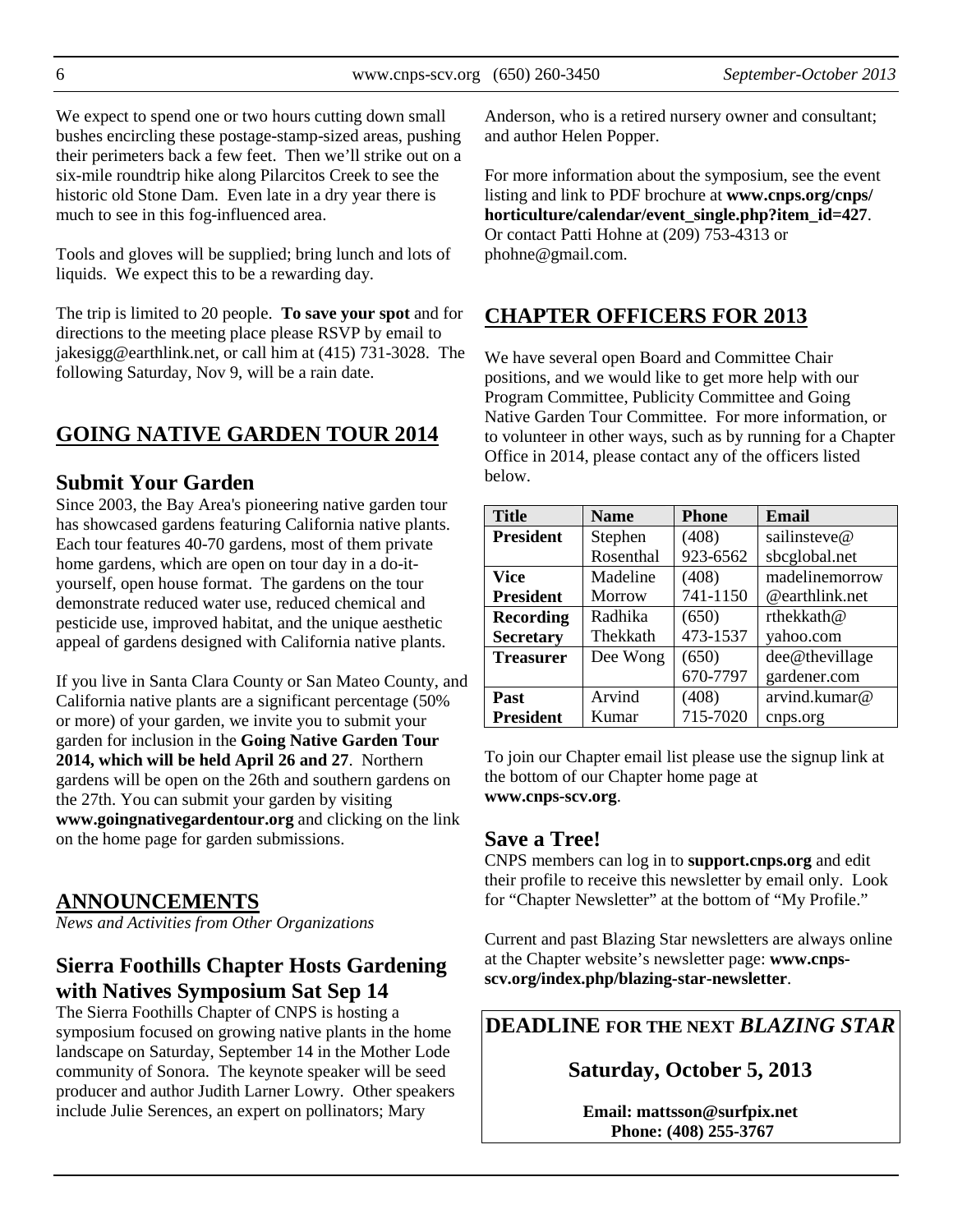We expect to spend one or two hours cutting down small bushes encircling these postage-stamp-sized areas, pushing their perimeters back a few feet. Then we'll strike out on a six-mile roundtrip hike along Pilarcitos Creek to see the historic old Stone Dam. Even late in a dry year there is much to see in this fog-influenced area.

Tools and gloves will be supplied; bring lunch and lots of liquids. We expect this to be a rewarding day.

The trip is limited to 20 people. **To save your spot** and for directions to the meeting place please RSVP by email to jakesigg@earthlink.net, or call him at (415) 731-3028. The following Saturday, Nov 9, will be a rain date.

# **GOING NATIVE GARDEN TOUR 2014**

# **Submit Your Garden**

Since 2003, the Bay Area's pioneering native garden tour has showcased gardens featuring California native plants. Each tour features 40-70 gardens, most of them private home gardens, which are open on tour day in a do-ityourself, open house format. The gardens on the tour demonstrate reduced water use, reduced chemical and pesticide use, improved habitat, and the unique aesthetic appeal of gardens designed with California native plants.

If you live in Santa Clara County or San Mateo County, and California native plants are a significant percentage (50% or more) of your garden, we invite you to submit your garden for inclusion in the **Going Native Garden Tour 2014, which will be held April 26 and 27**. Northern gardens will be open on the 26th and southern gardens on the 27th. You can submit your garden by visiting **www.goingnativegardentour.org** and clicking on the link on the home page for garden submissions.

# **ANNOUNCEMENTS**

*News and Activities from Other Organizations*

# **Sierra Foothills Chapter Hosts Gardening with Natives Symposium Sat Sep 14**

The Sierra Foothills Chapter of CNPS is hosting a symposium focused on growing native plants in the home landscape on Saturday, September 14 in the Mother Lode community of Sonora. The keynote speaker will be seed producer and author Judith Larner Lowry. Other speakers include Julie Serences, an expert on pollinators; Mary

Anderson, who is a retired nursery owner and consultant; and author Helen Popper.

For more information about the symposium, see the event listing and link to PDF brochure at **www.cnps.org/cnps/ horticulture/calendar/event\_single.php?item\_id=427**. Or contact Patti Hohne at (209) 753-4313 or phohne@gmail.com.

# **CHAPTER OFFICERS FOR 2013**

We have several open Board and Committee Chair positions, and we would like to get more help with our Program Committee, Publicity Committee and Going Native Garden Tour Committee. For more information, or to volunteer in other ways, such as by running for a Chapter Office in 2014, please contact any of the officers listed below.

| <b>Title</b>     | <b>Name</b> | <b>Phone</b> | <b>Email</b>   |
|------------------|-------------|--------------|----------------|
| <b>President</b> | Stephen     | (408)        | sailinsteve@   |
|                  | Rosenthal   | 923-6562     | sbcglobal.net  |
| <b>Vice</b>      | Madeline    | (408)        | madelinemorrow |
| <b>President</b> | Morrow      | 741-1150     | @earthlink.net |
| <b>Recording</b> | Radhika     | (650)        | rthekkath@     |
| <b>Secretary</b> | Thekkath    | 473-1537     | yahoo.com      |
| <b>Treasurer</b> | Dee Wong    | (650)        | dee@thevillage |
|                  |             | 670-7797     | gardener.com   |
| Past             | Arvind      | (408)        | arvind.kumar@  |
| <b>President</b> | Kumar       | 715-7020     | cnps.org       |

To join our Chapter email list please use the signup link at the bottom of our Chapter home page at **www.cnps-scv.org**.

# **Save a Tree!**

CNPS members can log in to **support.cnps.org** and edit their profile to receive this newsletter by email only. Look for "Chapter Newsletter" at the bottom of "My Profile."

Current and past Blazing Star newsletters are always online at the Chapter website's newsletter page: **www.cnpsscv.org/index.php/blazing-star-newsletter**.

# **DEADLINE FOR THE NEXT** *BLAZING STAR*

# **Saturday, October 5, 2013**

**Email: mattsson@surfpix.net Phone: (408) 255-3767**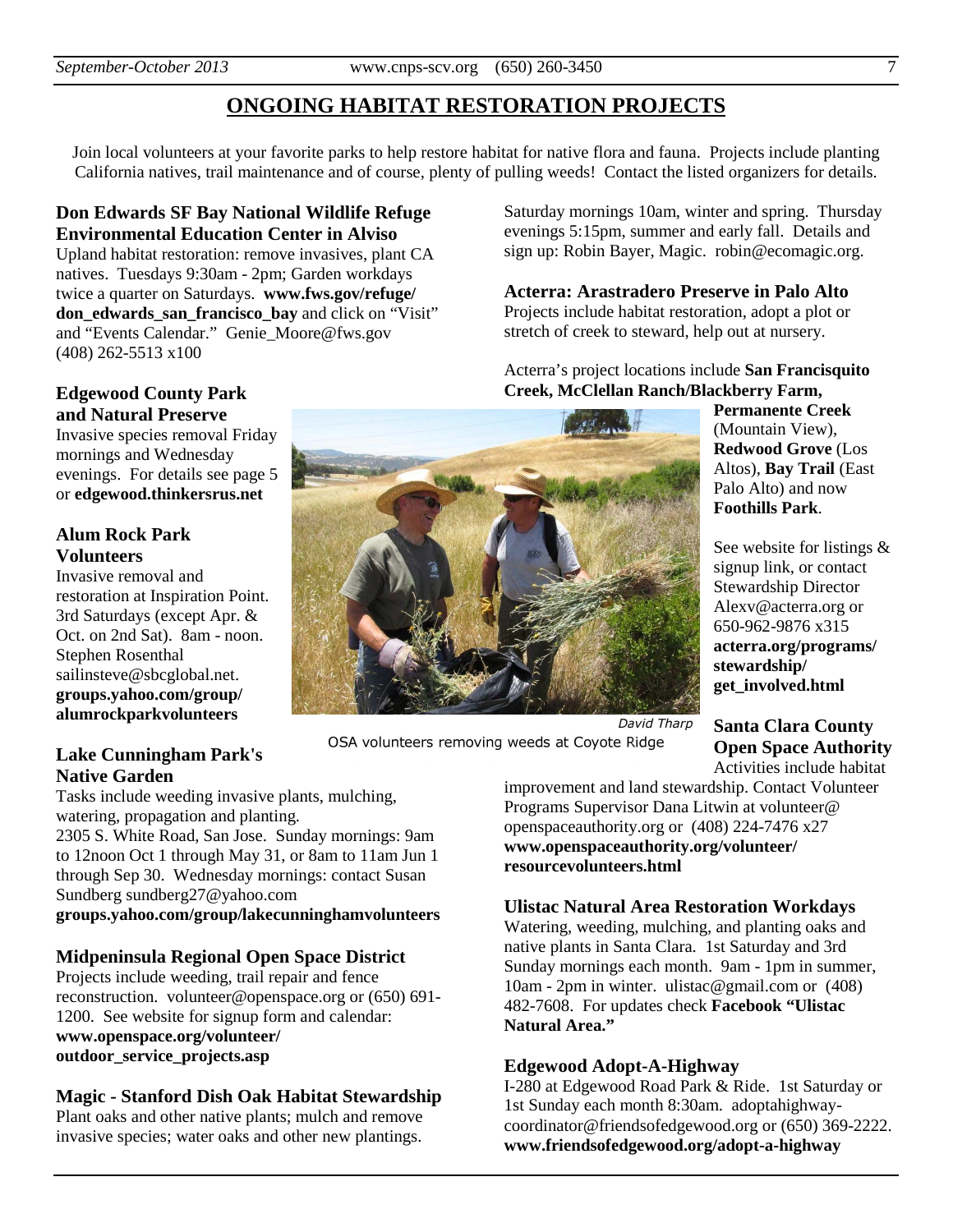**Edgewood County Park and Natural Preserve** 

**Alum Rock Park** 

Invasive removal and

Stephen Rosenthal

restoration at Inspiration Point. 3rd Saturdays (except Apr. & Oct. on 2nd Sat). 8am - noon.

**Volunteers** 

Invasive species removal Friday mornings and Wednesday evenings. For details see page 5 or **edgewood.thinkersrus.net** 

# **ONGOING HABITAT RESTORATION PROJECTS**

Join local volunteers at your favorite parks to help restore habitat for native flora and fauna. Projects include planting California natives, trail maintenance and of course, plenty of pulling weeds! Contact the listed organizers for details.

### **Don Edwards SF Bay National Wildlife Refuge Environmental Education Center in Alviso**

Upland habitat restoration: remove invasives, plant CA natives. Tuesdays 9:30am - 2pm; Garden workdays twice a quarter on Saturdays. **www.fws.gov/refuge/ don\_edwards\_san\_francisco\_bay** and click on "Visit" and "Events Calendar." Genie\_Moore@fws.gov (408) 262-5513 x100

Saturday mornings 10am, winter and spring. Thursday evenings 5:15pm, summer and early fall. Details and sign up: Robin Bayer, Magic. robin@ecomagic.org.

#### **Acterra: Arastradero Preserve in Palo Alto**  Projects include habitat restoration, adopt a plot or stretch of creek to steward, help out at nursery.

Acterra's project locations include **San Francisquito Creek, McClellan Ranch/Blackberry Farm,** 

> **Permanente Creek** (Mountain View), **Redwood Grove** (Los Altos), **Bay Trail** (East Palo Alto) and now **Foothills Park**.

See website for listings & signup link, or contact Stewardship Director Alexv@acterra.org or 650-962-9876 x315 **acterra.org/programs/ stewardship/ get\_involved.html** 

David Tharp

**Lake Cunningham Park's Native Garden** 

sailinsteve@sbcglobal.net. **groups.yahoo.com/group/ alumrockparkvolunteers** 

Tasks include weeding invasive plants, mulching, watering, propagation and planting.

2305 S. White Road, San Jose. Sunday mornings: 9am to 12noon Oct 1 through May 31, or 8am to 11am Jun 1 through Sep 30. Wednesday mornings: contact Susan Sundberg sundberg27@yahoo.com **groups.yahoo.com/group/lakecunninghamvolunteers** 

**Midpeninsula Regional Open Space District**  Projects include weeding, trail repair and fence reconstruction. volunteer@openspace.org or (650) 691- 1200. See website for signup form and calendar: **www.openspace.org/volunteer/ outdoor\_service\_projects.asp** 

#### **Magic - Stanford Dish Oak Habitat Stewardship**

Plant oaks and other native plants; mulch and remove invasive species; water oaks and other new plantings.



OSA volunteers removing weeds at Coyote Ridge

**Santa Clara County Open Space Authority**  Activities include habitat

improvement and land stewardship. Contact Volunteer Programs Supervisor Dana Litwin at volunteer@ openspaceauthority.org or (408) 224-7476 x27 **www.openspaceauthority.org/volunteer/ resourcevolunteers.html** 

#### **Ulistac Natural Area Restoration Workdays**

Watering, weeding, mulching, and planting oaks and native plants in Santa Clara. 1st Saturday and 3rd Sunday mornings each month. 9am - 1pm in summer, 10am - 2pm in winter. ulistac@gmail.com or (408) 482-7608. For updates check **Facebook "Ulistac Natural Area."** 

#### **Edgewood Adopt-A-Highway**

I-280 at Edgewood Road Park & Ride. 1st Saturday or 1st Sunday each month 8:30am. adoptahighwaycoordinator@friendsofedgewood.org or (650) 369-2222. **www.friendsofedgewood.org/adopt-a-highway**